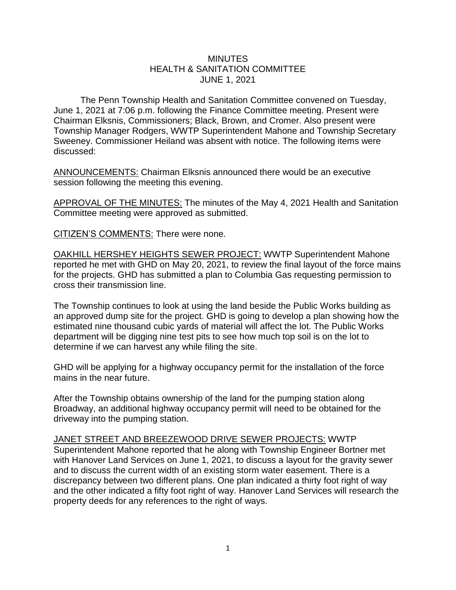## **MINUTES** HEALTH & SANITATION COMMITTEE JUNE 1, 2021

The Penn Township Health and Sanitation Committee convened on Tuesday, June 1, 2021 at 7:06 p.m. following the Finance Committee meeting. Present were Chairman Elksnis, Commissioners; Black, Brown, and Cromer. Also present were Township Manager Rodgers, WWTP Superintendent Mahone and Township Secretary Sweeney. Commissioner Heiland was absent with notice. The following items were discussed:

ANNOUNCEMENTS: Chairman Elksnis announced there would be an executive session following the meeting this evening.

APPROVAL OF THE MINUTES: The minutes of the May 4, 2021 Health and Sanitation Committee meeting were approved as submitted.

CITIZEN'S COMMENTS: There were none.

OAKHILL HERSHEY HEIGHTS SEWER PROJECT: WWTP Superintendent Mahone reported he met with GHD on May 20, 2021, to review the final layout of the force mains for the projects. GHD has submitted a plan to Columbia Gas requesting permission to cross their transmission line.

The Township continues to look at using the land beside the Public Works building as an approved dump site for the project. GHD is going to develop a plan showing how the estimated nine thousand cubic yards of material will affect the lot. The Public Works department will be digging nine test pits to see how much top soil is on the lot to determine if we can harvest any while filing the site.

GHD will be applying for a highway occupancy permit for the installation of the force mains in the near future.

After the Township obtains ownership of the land for the pumping station along Broadway, an additional highway occupancy permit will need to be obtained for the driveway into the pumping station.

JANET STREET AND BREEZEWOOD DRIVE SEWER PROJECTS: WWTP Superintendent Mahone reported that he along with Township Engineer Bortner met with Hanover Land Services on June 1, 2021, to discuss a layout for the gravity sewer and to discuss the current width of an existing storm water easement. There is a discrepancy between two different plans. One plan indicated a thirty foot right of way and the other indicated a fifty foot right of way. Hanover Land Services will research the property deeds for any references to the right of ways.